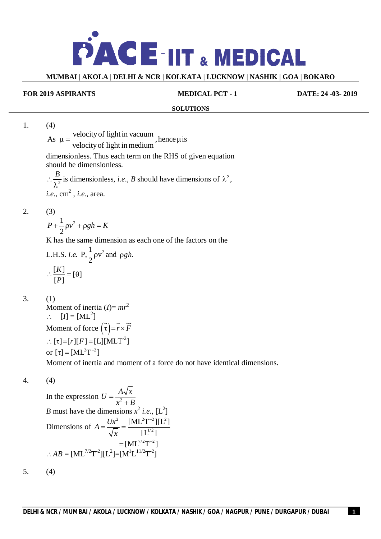

**MUMBAI | AKOLA | DELHI & NCR | KOLKATA | LUCKNOW | NASHIK | GOA | BOKARO**

#### **FOR 2019 ASPIRANTS MEDICAL PCT - 1 DATE: 24 -03- 2019**

#### **SOLUTIONS**

1. (4)

As  $\mu = \frac{\text{velocity of light in vacuum}}{\text{volume}}$ , hence  $\mu$  is velocityof light in medium  $\mu = \frac{1}{1 + \frac{1}{2} \pi i}$ , hence  $\mu$ i

dimensionless. Thus each term on the RHS of given equation should be dimensionless.

 $\therefore \frac{2}{\lambda^2}$  $\frac{B}{\sqrt{2}}$  is dimensionless, *i.e.*, *B* should have dimensions of  $\lambda^2$ , *i.e*., cm 2 , *i.e.*, area.

2. (3)

 $1^{2}$ 2  $P + \frac{1}{2} \rho v^2 + \rho g h = K$ 

K has the same dimension as each one of the factors on the

L.H.S. *i.e.* P, 
$$
\frac{1}{2}\rho v^2
$$
 and  $\rho gh$ .  

$$
\therefore \frac{[K]}{[P]} = [\theta]
$$

$$
3. (1)
$$

Moment of inertia  $(I) = mr^2$  $\therefore$  [*I*] = [ML<sup>2</sup>] Moment of force  $(\tau) = r \times R$  $\rightarrow \rightarrow \rightarrow$  $r \times F$  $\therefore [\tau] = [r][F] = [L][MLT^{-2}]$ or  $[\tau] = [ML^2T^{-2}]$ Moment of inertia and moment of a force do not have identical dimensions.

4. (4)

In the expression  $U = \frac{1}{r^2}$  $\ddot{}$  $U = \frac{A\sqrt{x}}{2}$  $x^2 + B$ *B* must have the dimensions  $x^2$  *i.e.*, [L<sup>2</sup>] Dimensions of  $A = \frac{Ux^2}{\sqrt{2}}$ *x*  $=\frac{6\pi}{\sqrt{2}}$  $2T^{-2}$  1  $1T^{-2}$ 1/2  $[\text{ML}^2 \text{T}^{-2}][\text{L}^2]$  $\lbrack \text{L} ^{1/2} \rbrack$ - $=[ML^{7/2}T^{-2}]$  $=$  $\therefore AB = [ML^{7/2}T^{-2}][L^2]=[M^{1}L^{11/2}T^{-2}]$ 

5. (4)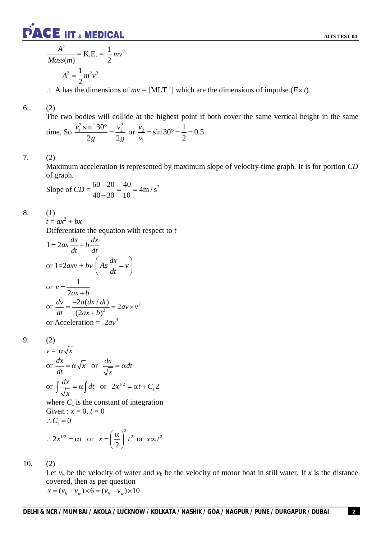

$$
\frac{A^2}{Mass(m)} = \text{K.E.} = \frac{1}{2}mv^2
$$

$$
A^2 = \frac{1}{2}m^2v^2
$$

 $\therefore$  A has the dimensions of  $mv = [MLT^{-1}]$  which are the dimensions of impulse ( $F \times t$ ).

## 6. (2)

The two bodies will collide at the highest point if both cover the same vertical height in the same time. So  $v_1^2 \sin^2 30^\circ - v_2^2$  $2g$  2  $v_1^2 \sin^2 30^\circ \quad v_2^2$ *g g*  $\frac{v_2^2}{2}$  or  $\frac{v_2^2}{2}$ 1  $\sin 30^{\circ} = \frac{1}{2} = 0.5$ 2 *v v*  $=\sin 30^{\circ} = \frac{1}{2} = 0$ 

# 7. (2)

Maximum acceleration is represented by maximum slope of velocity-time graph. It is for portion *CD* of graph.

Slope of 
$$
CD = \frac{60 - 20}{40 - 30} = \frac{40}{10} = 4 \text{m/s}^2
$$

8. (1)

 $t = ax^2 + bx$ 

Differentiate the equation with respect to *t*

$$
1 = 2ax\frac{dx}{dt} + b\frac{dx}{dt}
$$
  
or  $1=2axv + bv\left(As\frac{dx}{dt} = v\right)$   
or  $v = \frac{1}{2ax + b}$   
or  $\frac{dv}{dt} = \frac{-2a(dx/dt)}{(2ax + b)^2} = 2av \times v^2$   
or Acceleration = -2av<sup>3</sup>

9. (2)

$$
v = \alpha \sqrt{x}
$$
  
or  $\frac{dx}{dt} = \alpha \sqrt{x}$  or  $\frac{dx}{\sqrt{x}} = \alpha dt$   
or  $\int \frac{dx}{\sqrt{x}} = \alpha \int dt$  or  $2x^{1/2} = \alpha t + C_1 2$ 

where  $C_1$  is the constant of integration Given :  $x = 0, t = 0$  $C_1 = 0$  $2 \times 2$ 

$$
\therefore 2x^{1/2} = \alpha t \text{ or } x = \left(\frac{\alpha}{2}\right)^2 t^2 \text{ or } x \infty t^2
$$

10. (2)

Let  $v_w$  be the velocity of water and  $v_b$  be the velocity of motor boat in still water. If x is the distance covered, then as per question  $x = (v_b + v_w) \times 6 = (v_b - v_w) \times 10$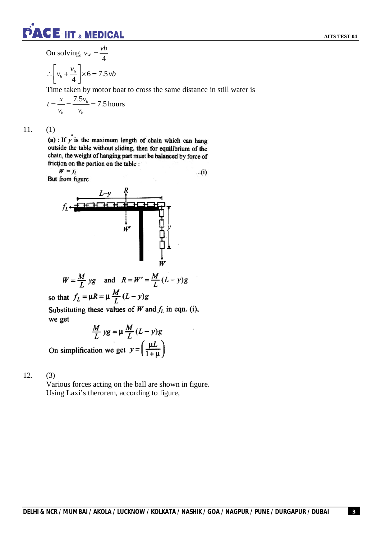

On solving, *v<sup>w</sup>*  $=\frac{vb}{4}$ 

$$
\therefore \left[ v_b + \frac{v_b}{4} \right] \times 6 = 7.5 \, vb
$$

Time taken by motor boat to cross the same distance in still water is

$$
t = \frac{x}{v_b} = \frac{7.5v_b}{v_b} = 7.5
$$
 hours

11. (1)

(a) : If  $y$  is the maximum length of chain which can hang outside the table without sliding, then for equilibrium of the chain, the weight of hanging part must be balanced by force of friction on the portion on the table :

 $W = f_L$ But from figure

 $...(i)$ 



$$
W = \frac{M}{L} yg \quad \text{and} \quad R = W' = \frac{M}{L} (L - y)g
$$

so that  $f_L = \mu R = \mu \frac{M}{L} (L - y)g$ 

Substituting these values of  $W$  and  $f_L$  in eqn. (i), we get

$$
\frac{M}{L} yg = \mu \frac{M}{L} (L - y)g
$$

On simplification we get  $y = \left(\frac{\mu L}{1 + \mu}\right)$ 

# 12. (3)

Various forces acting on the ball are shown in figure. Using Laxi's therorem, according to figure,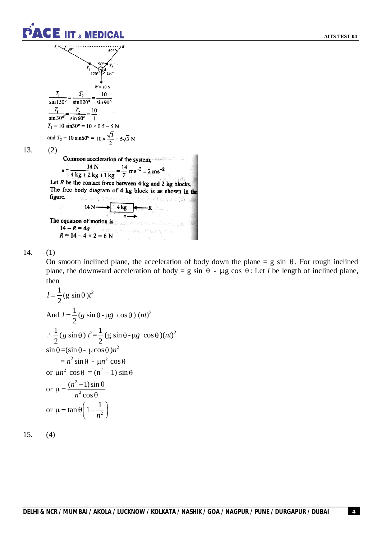

$$
T_1 = \frac{7}{100}
$$
  
\n
$$
T_2 = \frac{10}{100}
$$
  
\n
$$
\frac{T_1}{\sin 150^\circ} = \frac{T_2}{\sin 120^\circ} = \frac{10}{\sin 90^\circ}
$$
  
\n
$$
\frac{T_1}{\sin 30^\circ} = \frac{T_2}{\sin 60^\circ} = \frac{10}{1}
$$
  
\n
$$
T_1 = 10 \sin 30^\circ = 10 \times 0.5 = 5 N
$$
  
\nand  $T_2 = 10 \sin 60^\circ = 10 \times \frac{\sqrt{3}}{2} = 5\sqrt{3} N$ 

13.  $(2)$ 

(2)  
\nCommon acceleration of the system,  
\n
$$
a = \frac{14 \text{ N}}{4 \text{ kg} + 2 \text{ kg} + 1 \text{ kg}} = \frac{14}{7} \text{ ms}^{-2} = 2 \text{ ms}^{-2}
$$
  
\nLet *R* be the contact force between 4 kg and 2 kg blocks.  
\nThe free body diagram of 4 kg block is as shown in the figure.  
\n $14 \text{ N} \longrightarrow 4 \text{ kg}$   
\nThe equation of motion is  
\n $14 - R = 4a$   
\n $R = 14 - 4 \times 2 = 6 \text{ N}$ 

14. (1)

On smooth inclined plane, the acceleration of body down the plane =  $g \sin \theta$ . For rough inclined plane, the downward acceleration of body = g sin  $\theta$  -  $\mu$ g cos  $\theta$ : Let *l* be length of inclined plane, then

$$
l = \frac{1}{2} (g \sin \theta) t^2
$$
  
\nAnd  $l = \frac{1}{2} (g \sin \theta - \mu g \cos \theta) (nt)^2$   
\n $\therefore \frac{1}{2} (g \sin \theta) t^2 = \frac{1}{2} (g \sin \theta - \mu g \cos \theta) (nt)^2$   
\n $\sin \theta = (\sin \theta - \mu \cos \theta) n^2$   
\n $= n^2 \sin \theta - \mu n^2 \cos \theta$   
\nor  $\mu n^2 \cos \theta = (n^2 - 1) \sin \theta$   
\nor  $\mu = \frac{(n^2 - 1) \sin \theta}{n^2 \cos \theta}$   
\nor  $\mu = \tan \theta \left(1 - \frac{1}{n^2}\right)$ 

 $(4)$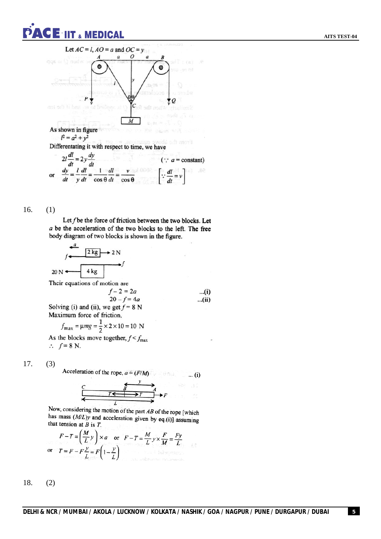



Let f be the force of friction between the two blocks. Let  $a$  be the acceleration of the two blocks to the left. The free body diagram of two blocks is shown in the figure.

$$
f \xrightarrow{d} 2 \text{ kg} \rightarrow 2 \text{ N}
$$
  
20 N  $\longleftarrow$  4 kg  
Their equations of motion are  
 $f - 2 = 2a$  ...(i)  
20 - f = 4a ...(ii)  
Solving (i) and (ii), we get f = 8 N  
Maximum force of friction,  
 $f_{\text{max}} = \mu mg = \frac{1}{2} \times 2 \times 10 = 10 \text{ N}$ 

As the blocks move together,  $f < f_{\text{max}}$  $\therefore$   $f = 8$  N.

17. (3)

Acceleration of the rope,  $a = (F/M)$  $\dots$  (i)

Now, considering the motion of the part AB of the rope [which that tension of B is  $T$ <br>that tension of B is  $T$ that tension at  $B$  is  $T$ .

$$
F - T = \left(\frac{M}{L}y\right) \times a \quad \text{or} \quad F - T = \frac{M}{L}y \times \frac{F}{M} = \frac{Fy}{L}
$$
  
or 
$$
T = F - F\frac{y}{L} = F\left(1 - \frac{y}{L}\right)
$$

18. (2)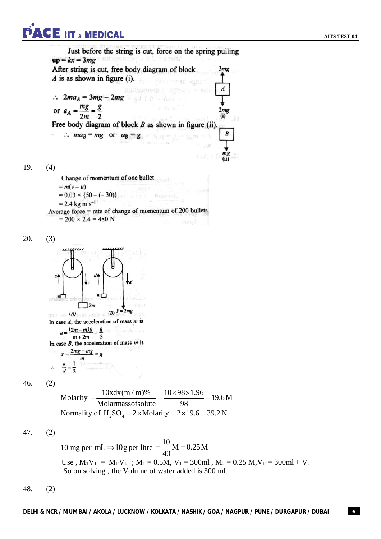# **ACE IIT & MEDICAL**

Just before the string is cut, force on the spring pulling  $up = kx = 3mg$  and connected as  $\frac{1}{2}$  and  $\frac{1}{2}$  $3mg$ After string is cut, free body diagram of block  $\vec{A}$  is as shown in figure (i).  $\boldsymbol{A}$ muteumsen  $\therefore$  2ma<sub>A</sub> = 3mg - 2mg or  $a_A = \frac{mg}{2m} = \frac{g}{2}$  $2mg$  $(i)$ Free body diagram of block  $B$  as shown in figure (ii).  $\therefore$  ma<sub>B</sub> = mg or a<sub>B</sub> = g  $\boldsymbol{B}$ 19. (4) Change of momentum of one bullet  $= m(v-u)$  $= 0.03 \times \{50 - (-30)\}$ Aniz v  $= 2.4$  kg m s<sup>-1</sup> Average force = rate of change of momentum of 200 bullets  $= 200 \times 2.4 = 480$  N sangit 20. (3)  $72m$  $\lim_{x \to 0}$  (A) and reds 6 (B)  $F = 2mg$ In case  $A$ , the acceleration of mass  $m$  is  $a = \frac{(2m-m)g}{g} = \frac{g}{g}$  $m+2m$  $\mathbf{a}$ In case  $B$ , the acceleration of mass  $m$  is  $a' = \frac{2mg - mg}{\sqrt{g}} = g$ 46. (2) Molarity  $=\frac{10x dx (m / m) \%}{x dx (m / m)} = \frac{10 \times 98 \times 1.96}{x^2} = 19.6 M$  $=\frac{10 \times 4 \times (m/m)\%}{(m/m)(m/m)} = \frac{10 \times 98 \times 1.96}{(m/m)(m/m)} = 1$ Molarmassofsolute 98 Normality of  $H_2SO_4 = 2 \times$  Molarity =  $2 \times 19.6 = 39.2$  N 47. (2) 10 mg per mL  $\Rightarrow$  10g per litre =  $\frac{10}{10}$  M = 0.25 M  $=\frac{10}{10}M = 0.25M$ 40 Use,  $M_1V_1 = M_RV_R$ ;  $M_1 = 0.5M$ ,  $V_1 = 300ml$ ,  $M_2 = 0.25 M$ ,  $V_R = 300ml + V_2$ So on solving , the Volume of water added is 300 ml.

48. (2)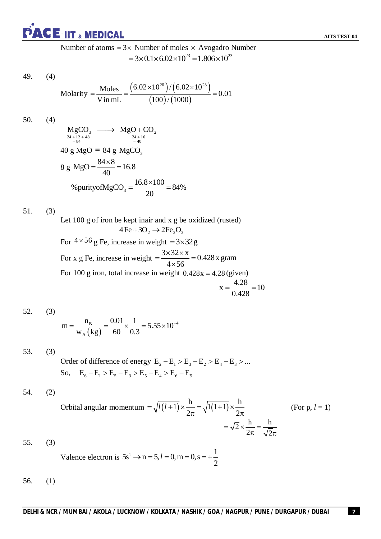

Number of atoms  $= 3 \times$  Number of moles  $\times$  Avogadro Number  $=3\times 0.1\times 6.02\times 10^{23} = 1.806\times 10^{23}$ 

49. (4)

Molarity = 
$$
\frac{\text{Moles}}{\text{V in mL}}
$$
 =  $\frac{(6.02 \times 10^{20}) / (6.02 \times 10^{23})}{(100) / (1000)}$  = 0.01

50. (4)

$$
MgCO3 \longrightarrow MgO + CO2
$$
  
\n
$$
{}^{24+12+48}_{24+16} = {}^{24+16}_{40}
$$
  
\n40 g MgO = 84 g MgCO<sub>3</sub>  
\n8 g MgO =  $\frac{84 \times 8}{40}$  = 16.8  
\n% purity of MgCO<sub>3</sub> =  $\frac{16.8 \times 100}{20}$  = 84%

51. (3)

Let 100 g of iron be kept inair and x g be oxidized (rusted)  $4 \text{Fe} + 3\text{O}_2 \rightarrow 2 \text{Fe}_2\text{O}_3$ For  $4 \times 56$  g Fe, increase in weight  $= 3 \times 32$  g For x g Fe, increase in weight  $=$   $\frac{3 \times 32 \times x}{1 \times 5^2}$  = 0.428 x gram  $4 \times 56$  $=\frac{3\times32\times x}{1\times5}=($  $\times$ For 100 g iron, total increase in weight  $0.428x = 4.28$  (given)  $x = \frac{4.28}{10} = 10$ 

$$
=\frac{4.28}{0.428} = 1
$$

52. (3)

$$
m = \frac{n_{\rm B}}{w_{\rm A} \left(\text{kg}\right)} = \frac{0.01}{60} \times \frac{1}{0.3} = 5.55 \times 10^{-4}
$$

53. (3) Order of difference of energy  $E_2 - E_1 > E_3 - E_2 > E_4 - E_3 > ...$ So,  $E_6 - E_1 > E_5 - E_3 > E_5 - E_4 > E_6 - E_5$ 

$$
54. (2)
$$

Orbital angular momentum 
$$
=\sqrt{l(l+1)} \times \frac{h}{2\pi} = \sqrt{1(1+1)} \times \frac{h}{2\pi}
$$
 (For p, l = 1)  
 $=\sqrt{2} \times \frac{h}{2\pi} = \frac{h}{\sqrt{2}\pi}$ 

55. (3)

Valence electron is 
$$
5s^1 \to n = 5, l = 0, m = 0, s = +\frac{1}{2}
$$

56. (1)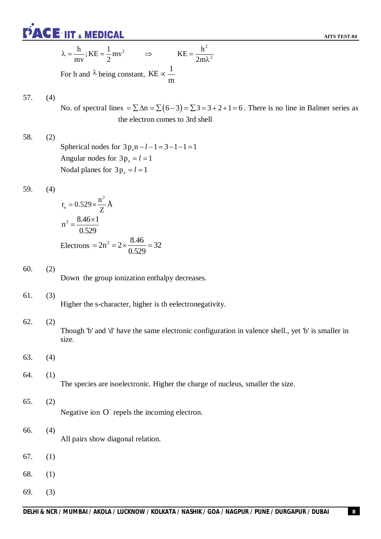**PACE IIT & MEDICAL** 

$$
\lambda = \frac{h}{mv}
$$
; KE =  $\frac{1}{2}mv^2$   $\Rightarrow$  KE =  $\frac{h^2}{2m\lambda^2}$ 

For h and  $\lambda$  being constant, KE  $\propto \frac{1}{\lambda}$ m  $\infty$ 

# 57. (4)

No. of spectral lines  $= \sum \Delta n = \sum (6-3) = \sum 3 = 3 + 2 + 1 = 6$ . There is no line in Balmer series as the electron comes to 3rd shell

58. (2) Spherical nodes for  $3p_z n - l - 1 = 3 - 1 - 1 = 1$ Angular nodes for  $3p_z = l = 1$ Nodal planes for  $3p_z = l = 1$ 

59. (4)

$$
r_n = 0.529 \times \frac{n^2}{Z} \text{\AA}
$$
  

$$
n^2 = \frac{8.46 \times 1}{0.529}
$$
  
Electrons =  $2n^2 = 2 \times \frac{8.46}{0.529} = 32$ 

60. (2)

Down the group ionization enthalpy decreases.

### 61. (3)

Higher the s-character, higher is th eelectronegativity.

### 62. (2)

Though 'b' and 'd' have the same electronic configuration in valence shell., yet 'b' is smaller in size.

63. (4)

# 64. (1)

The species are isoelectronic. Higher the charge of nucleus, smaller the size.

## 65. (2)

Negative ion O<sup>-</sup> repels the incoming electron.

# 66. (4) All pairs show diagonal relation.

- 67. (1)
- 68. (1)
- 69. (3)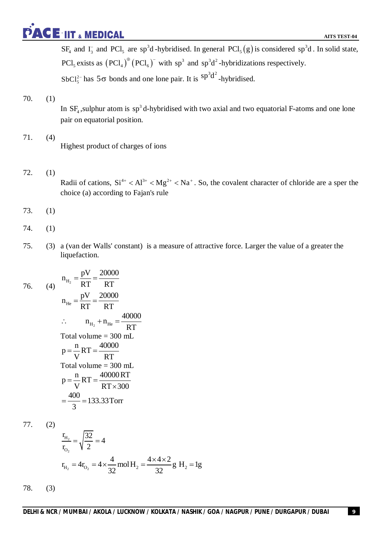# **PACE IIT & MEDICAL**

 $SF_4$  and  $I_3^-$  and  $PCI_5$  are sp<sup>3</sup>d-hybridised. In general  $PCI_5(g)$  is considered sp<sup>3</sup>d. In solid state, PCl<sub>5</sub> exists as  $(PCl_4)^\oplus (PCl_6)^\dagger$  with sp<sup>3</sup> and sp<sup>3</sup>d<sup>2</sup>-hybridizations respectively. SbCl<sup>2-</sup> has  $5\sigma$  bonds and one lone pair. It is  ${}^{sp^3d^2}$ -hybridised.

# 70. (1)

In  $SF_4$ , sulphur atom is  $sp^3$  d-hybridised with two axial and two equatorial F-atoms and one lone pair on equatorial position.

- 71. (4) Highest product of charges of ions
- 72. (1)

Radii of cations,  $Si^{4+} < Al^{3+} < Mg^{2+} < Na^{+}$ . So, the covalent character of chloride are a sper the choice (a) according to Fajan's rule

- 73. (1)
- 74. (1)
- 75. (3) a (van der Walls' constant) is a measure of attractive force. Larger the value of a greater the liquefaction.

76. (4) 
$$
n_{H_2} = \frac{pV}{RT} = \frac{20000}{RT}
$$
  
\n $n_{He} = \frac{pV}{RT} = \frac{20000}{RT}$   
\n $\therefore n_{H_2} + n_{He} = \frac{40000}{RT}$   
\nTotal volume = 300 mL  
\n $p = \frac{n}{V}RT = \frac{40000}{RT}$   
\nTotal volume = 300 mL  
\n $p = \frac{n}{V}RT = \frac{40000RT}{RT \times 300}$   
\n $= \frac{400}{3} = 133.33$ Torr

77. (2)

$$
\frac{r_{H_2}}{r_{O_2}} = \sqrt{\frac{32}{2}} = 4
$$
  

$$
r_{H_2} = 4r_{O_2} = 4 \times \frac{4}{32} \text{ mol } H_2 = \frac{4 \times 4 \times 2}{32} \text{ g } H_2 = 1 \text{ g}
$$

78. (3)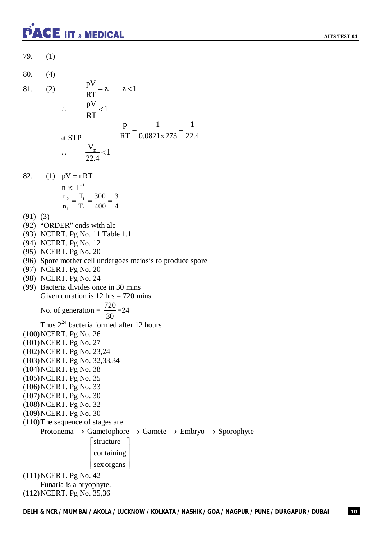# **PACE-IIT & MEDICAL**

**AITS TEST-04**

79. (1) 80. (4) 81. (2)  $\frac{pV}{RT} = z, \quad z < 1$ RT  $=z, \quad z<1$  $\frac{pV}{pT}$  < 1 RT  $\therefore \frac{P'}{P} < 1$ at STP p 1 1 RT 0.0821×273 22.4  $=\frac{1}{2.0001 \cdot 270} =$  $\times$  $\frac{V_{\text{m}}}{2.1}$  < 1 22.4  $\therefore \frac{m}{224} < 1$ 82. (1)  $pV = nRT$  $n \propto T^{-1}$  $\frac{2}{ } - \frac{1}{ }$  $1 \quad \blacksquare$  $n_2$  T<sub>1</sub> 300 3  $n_1$   $T_2$  400 4  $=\frac{1}{\pi}=\frac{300}{100}=$ (91) (3) (92) "ORDER" ends with ale (93) NCERT. Pg No. 11 Table 1.1 (94) NCERT. Pg No. 12 (95) NCERT. Pg No. 20 (96) Spore mother cell undergoes meiosis to produce spore (97) NCERT. Pg No. 20 (98) NCERT. Pg No. 24 (99) Bacteria divides once in 30 mins Given duration is  $12 \text{ hrs} = 720 \text{ mins}$ No. of generation =  $\frac{720}{20}$ 30  $=24$ Thus  $2^{24}$  bacteria formed after 12 hours (100)NCERT. Pg No. 26 (101)NCERT. Pg No. 27 (102)NCERT. Pg No. 23,24 (103)NCERT. Pg No. 32,33,34 (104)NCERT. Pg No. 38 (105)NCERT. Pg No. 35 (106)NCERT. Pg No. 33 (107)NCERT. Pg No. 30 (108)NCERT. Pg No. 32 (109)NCERT. Pg No. 30 (110)The sequence of stages are Protonema  $\rightarrow$  Gametophore  $\rightarrow$  Gamete  $\rightarrow$  Embryo  $\rightarrow$  Sporophyte structure | containing  $\lfloor$  sex organs  $\rfloor$  $\vert$  comaning  $\vert$ (111)NCERT. Pg No. 42 Funaria is a bryophyte. (112)NCERT. Pg No. 35,36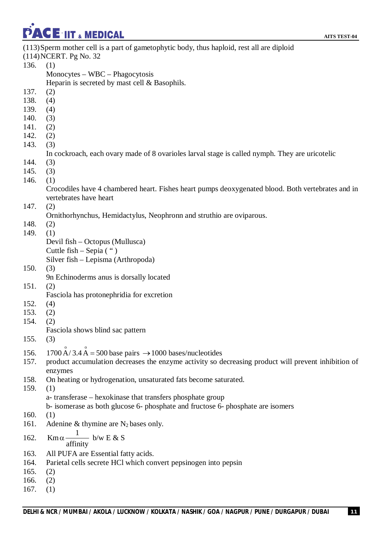PACE IIT & MEDICAL

| (113) Sperm mother cell is a part of gametophytic body, thus haploid, rest all are diploid<br>(114) NCERT. Pg No. 32        |  |
|-----------------------------------------------------------------------------------------------------------------------------|--|
| 136.<br>(1)                                                                                                                 |  |
| $Monocytes - WBC - Phagocytosis$                                                                                            |  |
| Heparin is secreted by mast cell & Basophils.                                                                               |  |
| 137.<br>(2)                                                                                                                 |  |
| 138.<br>(4)                                                                                                                 |  |
| 139.<br>(4)                                                                                                                 |  |
| 140.<br>(3)                                                                                                                 |  |
| 141.<br>(2)                                                                                                                 |  |
| 142.<br>(2)                                                                                                                 |  |
| 143.<br>(3)                                                                                                                 |  |
|                                                                                                                             |  |
| In cockroach, each ovary made of 8 ovarioles larval stage is called nymph. They are uricotelic                              |  |
| 144.<br>(3)                                                                                                                 |  |
| 145.<br>(3)                                                                                                                 |  |
| 146.<br>(1)                                                                                                                 |  |
| Crocodiles have 4 chambered heart. Fishes heart pumps deoxygenated blood. Both vertebrates and in<br>vertebrates have heart |  |
| 147.<br>(2)                                                                                                                 |  |
| Ornithorhynchus, Hemidactylus, Neophronn and struthio are oviparous.                                                        |  |
| 148.<br>(2)                                                                                                                 |  |
| 149.<br>(1)                                                                                                                 |  |
| Devil fish – Octopus (Mullusca)                                                                                             |  |
| Cuttle fish $-$ Sepia $($ " $)$                                                                                             |  |
| Silver fish – Lepisma (Arthropoda)                                                                                          |  |
| 150.<br>(3)                                                                                                                 |  |
| 9n Echinoderms anus is dorsally located                                                                                     |  |
| 151.<br>(2)                                                                                                                 |  |
| Fasciola has protonephridia for excretion                                                                                   |  |
| 152.<br>(4)                                                                                                                 |  |
| 153.<br>(2)                                                                                                                 |  |
| 154.<br>(2)                                                                                                                 |  |
| Fasciola shows blind sac pattern                                                                                            |  |
| 155.<br>(3)                                                                                                                 |  |
|                                                                                                                             |  |
| 1700 $\mathring{A}/3.4\mathring{A} = 500$ base pairs $\rightarrow$ 1000 bases/nucleotides<br>156.                           |  |
| 157.<br>product accumulation decreases the enzyme activity so decreasing product will prevent inhibition of                 |  |
| enzymes                                                                                                                     |  |
| 158.<br>On heating or hydrogenation, unsaturated fats become saturated.                                                     |  |
| 159.<br>(1)                                                                                                                 |  |
| a-transferase – hexokinase that transfers phosphate group                                                                   |  |
|                                                                                                                             |  |
|                                                                                                                             |  |
| b- isomerase as both glucose 6- phosphate and fructose 6- phosphate are isomers                                             |  |
| 160.<br>(1)                                                                                                                 |  |
| Adenine & thymine are $N_2$ bases only.<br>161.                                                                             |  |
| $\operatorname{Km}\alpha \frac{1}{\text{affinity}}$ b/w E & S<br>162.                                                       |  |
| 163.                                                                                                                        |  |
| All PUFA are Essential fatty acids.<br>164.                                                                                 |  |
| Parietal cells secrete HCl which convert pepsinogen into pepsin<br>165.                                                     |  |
| (2)<br>166.<br>(2)                                                                                                          |  |